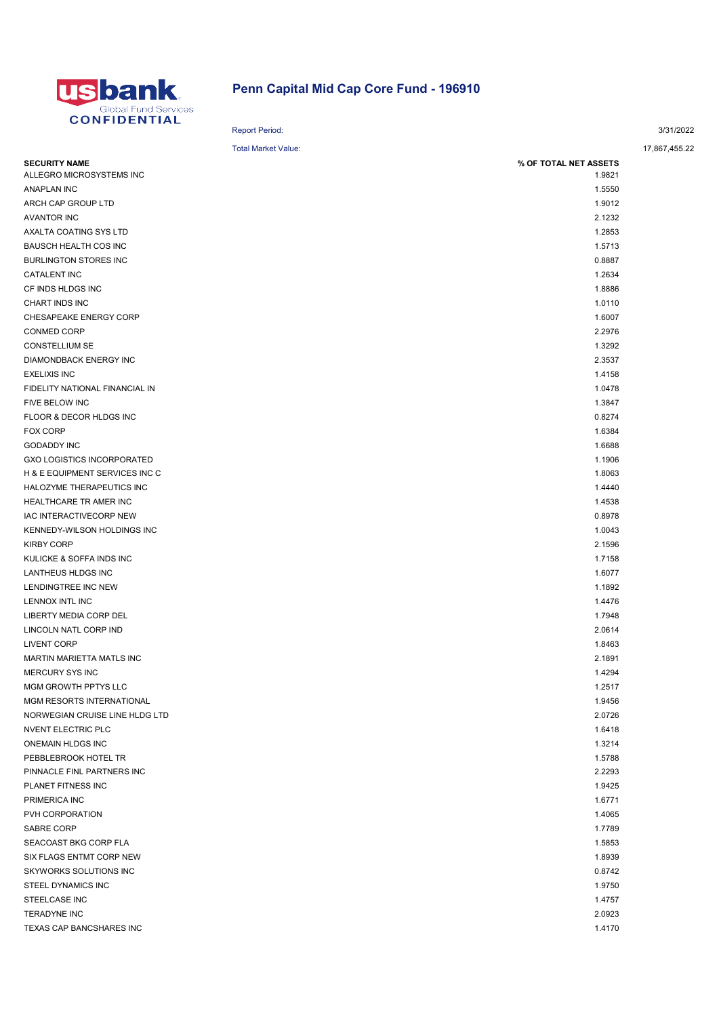

## Penn Capital Mid Cap Core Fund - 196910

|                                   | <b>Report Period:</b>      | 3/31/2022     |
|-----------------------------------|----------------------------|---------------|
|                                   | <b>Total Market Value:</b> | 17,867,455.22 |
| <b>SECURITY NAME</b>              | % OF TOTAL NET ASSETS      |               |
| ALLEGRO MICROSYSTEMS INC          | 1.9821                     |               |
| <b>ANAPLAN INC</b>                | 1.5550                     |               |
| ARCH CAP GROUP LTD                | 1.9012                     |               |
| <b>AVANTOR INC</b>                | 2.1232                     |               |
| AXALTA COATING SYS LTD            | 1.2853                     |               |
| BAUSCH HEALTH COS INC             | 1.5713                     |               |
| <b>BURLINGTON STORES INC</b>      | 0.8887                     |               |
| <b>CATALENT INC</b>               | 1.2634                     |               |
| CF INDS HLDGS INC                 | 1.8886                     |               |
| CHART INDS INC                    | 1.0110                     |               |
| CHESAPEAKE ENERGY CORP            | 1.6007                     |               |
| <b>CONMED CORP</b>                | 2.2976                     |               |
| <b>CONSTELLIUM SE</b>             | 1.3292                     |               |
| DIAMONDBACK ENERGY INC            | 2.3537                     |               |
| <b>EXELIXIS INC</b>               | 1.4158                     |               |
| FIDELITY NATIONAL FINANCIAL IN    | 1.0478                     |               |
| FIVE BELOW INC                    | 1.3847                     |               |
| FLOOR & DECOR HLDGS INC           | 0.8274                     |               |
| <b>FOX CORP</b>                   | 1.6384                     |               |
| <b>GODADDY INC</b>                | 1.6688                     |               |
| <b>GXO LOGISTICS INCORPORATED</b> | 1.1906                     |               |
| H & E EQUIPMENT SERVICES INC C    | 1.8063                     |               |
| HALOZYME THERAPEUTICS INC         | 1.4440                     |               |
| HEALTHCARE TR AMER INC            | 1.4538                     |               |
| IAC INTERACTIVECORP NEW           | 0.8978                     |               |
| KENNEDY-WILSON HOLDINGS INC       | 1.0043                     |               |
| <b>KIRBY CORP</b>                 | 2.1596                     |               |
| KULICKE & SOFFA INDS INC          | 1.7158                     |               |
| LANTHEUS HLDGS INC                | 1.6077                     |               |
| LENDINGTREE INC NEW               | 1.1892                     |               |
| LENNOX INTL INC                   | 1.4476                     |               |
| LIBERTY MEDIA CORP DEL            | 1.7948                     |               |
| LINCOLN NATL CORP IND             | 2.0614                     |               |
| <b>LIVENT CORP</b>                | 1.8463                     |               |
| MARTIN MARIETTA MATLS INC         | 2.1891                     |               |
| <b>MERCURY SYS INC</b>            | 1.4294                     |               |
| MGM GROWTH PPTYS LLC              | 1.2517                     |               |
| MGM RESORTS INTERNATIONAL         | 1.9456                     |               |
| NORWEGIAN CRUISE LINE HLDG LTD    | 2.0726                     |               |
| NVENT ELECTRIC PLC                | 1.6418                     |               |
| ONEMAIN HLDGS INC                 | 1.3214                     |               |
| PEBBLEBROOK HOTEL TR              | 1.5788                     |               |
| PINNACLE FINL PARTNERS INC        | 2.2293                     |               |
| PLANET FITNESS INC                | 1.9425                     |               |
| PRIMERICA INC                     | 1.6771                     |               |
| PVH CORPORATION                   | 1.4065                     |               |
| SABRE CORP                        | 1.7789                     |               |
| SEACOAST BKG CORP FLA             | 1.5853                     |               |
| SIX FLAGS ENTMT CORP NEW          | 1.8939                     |               |
| SKYWORKS SOLUTIONS INC            | 0.8742                     |               |
| STEEL DYNAMICS INC                | 1.9750                     |               |
| STEELCASE INC                     | 1.4757                     |               |
| <b>TERADYNE INC</b>               | 2.0923                     |               |
| TEXAS CAP BANCSHARES INC          | 1.4170                     |               |